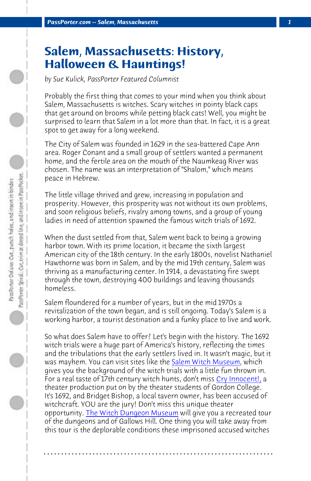*PassPorter.com -- Salem, Massachusetts 1*

## **Salem, Massachusetts: History, Halloween & Hauntings!**

*by Sue Kulick, PassPorter Featured Columnist*

Probably the first thing that comes to your mind when you think about Salem, Massachusetts is witches. Scary witches in pointy black caps that get around on brooms while petting black cats! Well, you might be surprised to learn that Salem in a lot more than that. In fact, it is a great spot to get away for a long weekend.

The City of Salem was founded in 1629 in the sea-battered Cape Ann area. Roger Conant and a small group of settlers wanted a permanent home, and the fertile area on the mouth of the Naumkeag River was chosen. The name was an interpretation of "Shalom," which means peace in Hebrew.

The little village thrived and grew, increasing in population and prosperity. However, this prosperity was not without its own problems, and soon religious beliefs, rivalry among towns, and a group of young ladies in need of attention spawned the [famous witch trials of 1](http://www.salemwitchmuseum.com/)692.

When the dust settled from that, Salem went back to b[eing a growing](http://www.salemoldtownhall.com/index.php?option=com_content&view=article&id=53:history-alive-cry-innocent&catid=28:current-users&Itemid=71) harbor town. With its prime location, it became the sixth largest American city of the 18th century. In the early 1800s, novelist Nathaniel Hawthorne was born in Salem, and by the mid 19th century, Salem was thriving as a [manufacturing center. In 1914](http://www.witchdungeon.com/), a devastating fire swept through the town, destroying 400 buildings and leaving thousands homeless.

Salem floundered for a number of years, but in the mid 1970s a revitalization of the town began, and is still ongoing. Today's Salem is a working harbor, a tourist destination and a funky place to live and work.

So what does Salem have to offer? Let's begin with the history. The 1692 witch trials were a huge part of America's history, reflecting the times and the tribulations that the early settlers lived in. It wasn't magic, but it was mayhem. You can visit sites like the Salem Witch Museum, which gives you the background of the witch trials with a little fun thrown in. For a real taste of 17th century witch hunts, don't miss Cry Innocent!, a theater production put on by the theater students of Gordon College. It's 1692, and Bridget Bishop, a local tavern owner, has been accused of witchcraft. YOU are the jury! Don't miss this unique theater opportunity. The Witch Dungeon Museum will give you a recreated tour of the dungeons and of Gallows Hill. One thing you will take away from this tour is the deplorable conditions these imprisoned accused witches

**. . . . . . . . . . . . . . . . . . . . . . . . . . . . . . . . . . . . . . . . . . . . . . . . . . . . . . . . . . . . . . . . . .**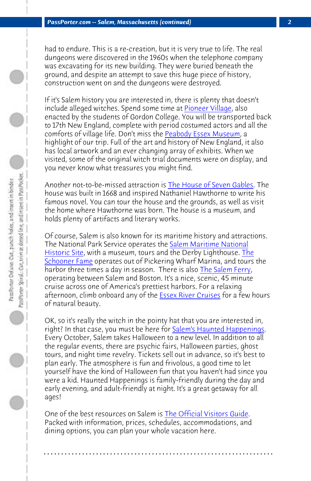*PassPorter.com -- Salem, Massachusetts (continued) 2*

had to endure. This is a re-creation, bu[t it is very true to life. The re](http://www.7gables.org/)al dungeons were discovered in the 1960s when the telephone company was excavating for its new building. They were buried beneath the ground, and despite an attempt to save this huge piece of history, construction went on and the dungeons were destroyed.

If it's Salem history you are interested i[n, there is plenty that does](http://www.nps.gov/sama/index.htm)n't [include alleg](http://www.nps.gov/sama/index.htm)ed witches. Spend [so](http://www.schoonerfame.com/)me time at Pioneer Village, also [enacted by the](http://www.schoonerfame.com/) students of Gordon College. You will be transported back to 17th New England, complete with period costu[med actors and a](http://www.salemferry.com/)ll the comforts of village life. Don't miss the Peabody Essex Museum, a highlight of our trip. Full of the art and history of New England, it also has local artwork and an ever chang[ing array of exhibits](http://www.essexcruises.com/). When we visited, some of the original witch trial documents were on display, and you never know what treasures you might find.

Another not-to-be-missed attraction is **The House of Seven Gables**. The house was built in 1668 and inspired Nathaniel Hawthorne to write his famous novel. You can tour the house and the grounds, as well as visit the home where Hawthorne was born. The house is a museum, and holds plenty of artifacts and literary works.

Of course, Salem is also known for its maritime history and attractions. The National Park Service operates the Salem Maritime National Historic Site, with a museum, tours and the Derby Lighthouse. The Schooner Fame operates out of Pickering Wharf Marina, and tours the harbor three times a day in season. T[here is also The Salem Ferry](http://www.salem.org/index.shtml), operating between Salem and Boston. It's a nice, scenic, 45 minute cruise across one of America's prettiest harbors. For a relaxing afternoon, climb onboard any of the **Essex River Cruises** for a few hours of natural beauty.

OK, so it's really the witch in the pointy hat that you are interested in, right? In that case, you must be here for Salem's Haunted Happenings. Every October, Salem takes Halloween to a new level. In addition to all the regular events, there are psychic fairs, Halloween parties, ghost tours, and night time revelry. Tickets sell out in advance, so it's best to plan early. The atmosphere is fun and frivolous, a good time to let yourself have the kind of Halloween fun that you haven't had since you were a kid. Haunted Happenings is family-friendly during the day and early evening, and adult-friendly at night. It's a great getaway for all ages!

One of the best resources on Salem is The Official Visitors Guide. Packed with information, prices, schedules, accommodations, and dining options, you can plan your whole vacation here.

**. . . . . . . . . . . . . . . . . . . . . . . . . . . . . . . . . . . . . . . . . . . . . . . . . . . . . . . . . . . . . . . . . .**